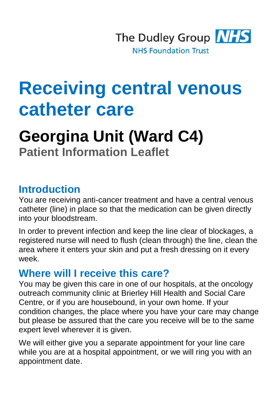

# **Receiving central venous catheter care**

## **Georgina Unit (Ward C4) Patient Information Leaflet**

#### **Introduction**

You are receiving anti-cancer treatment and have a central venous catheter (line) in place so that the medication can be given directly into your bloodstream.

In order to prevent infection and keep the line clear of blockages, a registered nurse will need to flush (clean through) the line, clean the area where it enters your skin and put a fresh dressing on it every week.

#### **Where will I receive this care?**

You may be given this care in one of our hospitals, at the oncology outreach community clinic at Brierley Hill Health and Social Care Centre, or if you are housebound, in your own home. If your condition changes, the place where you have your care may change but please be assured that the care you receive will be to the same expert level wherever it is given.

We will either give you a separate appointment for your line care while you are at a hospital appointment, or we will ring you with an appointment date.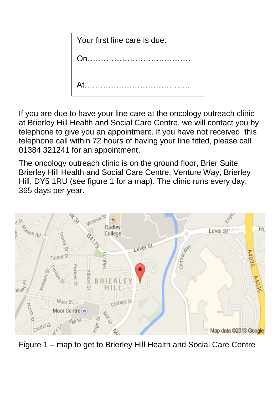| Your first line care is due: |
|------------------------------|
|                              |
|                              |
|                              |

If you are due to have your line care at the oncology outreach clinic at Brierley Hill Health and Social Care Centre, we will contact you by telephone to give you an appointment. If you have not received this telephone call within 72 hours of having your line fitted, please call 01384 321241 for an appointment.

The oncology outreach clinic is on the ground floor, Brier Suite, Brierley Hill Health and Social Care Centre, Venture Way, Brierley Hill, DY5 1RU (see figure 1 for a map). The clinic runs every day, 365 days per year.



Figure 1 – map to get to Brierley Hill Health and Social Care Centre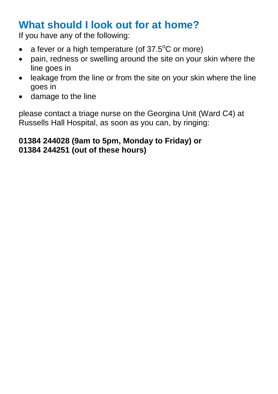### **What should I look out for at home?**

If you have any of the following:

- a fever or a high temperature (of  $37.5^{\circ}$ C or more)
- pain, redness or swelling around the site on your skin where the line goes in
- leakage from the line or from the site on your skin where the line goes in
- damage to the line

please contact a triage nurse on the Georgina Unit (Ward C4) at Russells Hall Hospital, as soon as you can, by ringing:

#### **01384 244028 (9am to 5pm, Monday to Friday) or 01384 244251 (out of these hours)**